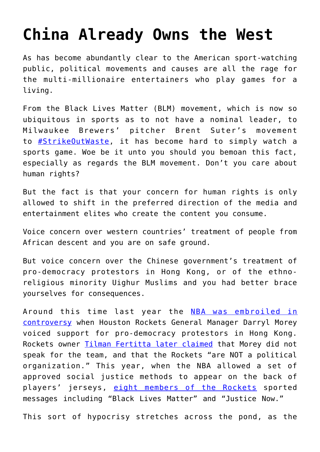## **[China Already Owns the West](https://intellectualtakeout.org/2020/10/china-already-owns-the-west/)**

As has become abundantly clear to the American sport-watching public, political movements and causes are all the rage for the multi-millionaire entertainers who play games for a living.

From the Black Lives Matter (BLM) movement, which is now so ubiquitous in sports as to not have a nominal leader, to Milwaukee Brewers' pitcher Brent Suter's movement to [#StrikeOutWaste](https://www.mlb.com/news/brent-suter-creating-environmental-awareness), it has become hard to simply watch a sports game. Woe be it unto you should you bemoan this fact, especially as regards the BLM movement. Don't you care about human rights?

But the fact is that your concern for human rights is only allowed to shift in the preferred direction of the media and entertainment elites who create the content you consume.

Voice concern over western countries' treatment of people from African descent and you are on safe ground.

But voice concern over the Chinese government's treatment of pro-democracy protestors in Hong Kong, or of the ethnoreligious minority Uighur Muslims and you had better brace yourselves for consequences.

Around this time last year the [NBA was embroiled in](https://www.intellectualtakeout.org/article/why-mike-pence-shouldnt-shut-about-china/) [controversy](https://www.intellectualtakeout.org/article/why-mike-pence-shouldnt-shut-about-china/) when Houston Rockets General Manager Darryl Morey voiced support for pro-democracy protestors in Hong Kong. Rockets owner [Tilman Fertitta later claimed](https://sports.yahoo.com/rockets-gm-daryl-morey-tweets-support-for-hong-kong-protests-prompting-response-from-owner-130019981.html) that Morey did not speak for the team, and that the Rockets "are NOT a political organization." This year, when the NBA allowed a set of approved social justice methods to appear on the back of players' jerseys, [eight members of the Rockets](https://rocketswire.usatoday.com/2020/07/30/eight-players-on-rockets-to-wear-social-justice-messages-on-jerseys/) sported messages including "Black Lives Matter" and "Justice Now."

This sort of hypocrisy stretches across the pond, as the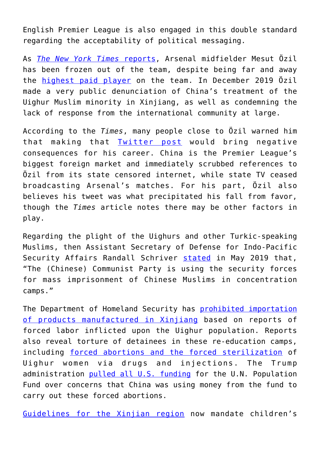English Premier League is also engaged in this double standard regarding the acceptability of political messaging.

As *[The New York Times](https://www.nytimes.com/2020/10/26/sports/soccer/mesut-ozil-arsenal-china.html?action=click&module=Well&pgtype=Homepage§ion=Sports)* [reports,](https://www.nytimes.com/2020/10/26/sports/soccer/mesut-ozil-arsenal-china.html?action=click&module=Well&pgtype=Homepage§ion=Sports) Arsenal midfielder Mesut Özil has been frozen out of the team, despite being far and away the [highest paid player](https://www.spotrac.com/epl/arsenal-fc/payroll/) on the team. In December 2019 Özil made a very public denunciation of China's treatment of the Uighur Muslim minority in Xinjiang, as well as condemning the lack of response from the international community at large.

According to the *Times*, many people close to Özil warned him that making that [Twitter post](https://twitter.com/MesutOzil1088/status/1205439723302469632?s=20) would bring negative consequences for his career. China is the Premier League's biggest foreign market and immediately scrubbed references to Özil from its state censored internet, while state TV ceased broadcasting Arsenal's matches. For his part, Özil also believes his tweet was what precipitated his fall from favor, though the *Times* article notes there may be other factors in play.

Regarding the plight of the Uighurs and other Turkic-speaking Muslims, then Assistant Secretary of Defense for Indo-Pacific Security Affairs Randall Schriver [stated](https://www.reuters.com/article/us-usa-china-concentrationcamps/china-putting-minority-muslims-in-concentration-camps-us-says-idUSKCN1S925K) in May 2019 that, "The (Chinese) Communist Party is using the security forces for mass imprisonment of Chinese Muslims in concentration camps."

The Department of Homeland Security has [prohibited importation](https://www.dhs.gov/news/2020/09/14/dhs-cracks-down-goods-produced-china-s-state-sponsored-forced-labor) [of products manufactured in Xinjiang](https://www.dhs.gov/news/2020/09/14/dhs-cracks-down-goods-produced-china-s-state-sponsored-forced-labor) based on reports of forced labor inflicted upon the Uighur population. Reports also reveal torture of detainees in these re-education camps, including [forced abortions and the forced sterilization](https://www.heritage.org/asia/commentary/chinas-forced-sterilization-uighur-women-cultural-genocide) of Uighur women via drugs and injections. The Trump administration [pulled all U.S. funding](https://www.heritage.org/asia/commentary/chinas-forced-sterilization-uighur-women-cultural-genocide) for the U.N. Population Fund over concerns that China was using money from the fund to carry out these forced abortions.

[Guidelines for the Xinjian region](https://www.reuters.com/article/china-xinjiang-int-idUSKBN1710DD) now mandate children's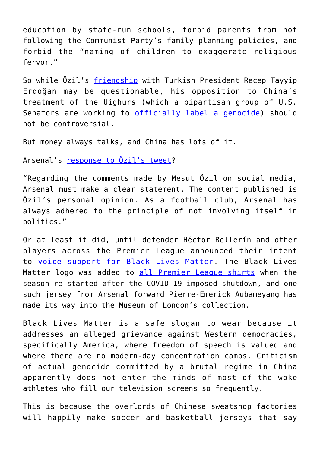education by state-run schools, forbid parents from not following the Communist Party's family planning policies, and forbid the "naming of children to exaggerate religious fervor."

So while Özil's [friendship](https://www.goal.com/en-us/news/explained-mesut-ozil-relationship-turkey-president-erdogan/siztk0yhyt1a150c2wtr6u5tm) with Turkish President Recep Tayyip Erdoğan may be questionable, his opposition to China's treatment of the Uighurs (which a bipartisan group of U.S. Senators are working to [officially label a genocide\)](https://www.theguardian.com/world/2020/oct/28/us-senators-seek-to-declare-uighur-genocide-by-china-in-bipartisan-push) should not be controversial.

But money always talks, and China has lots of it.

Arsenal's [response to Özil's tweet?](https://www.theguardian.com/football/2019/dec/13/arsenal-distance-themselves-from-mesut-ozil-comments-china-uighur-people)

"Regarding the comments made by Mesut Özil on social media, Arsenal must make a clear statement. The content published is Özil's personal opinion. As a football club, Arsenal has always adhered to the principle of not involving itself in politics."

Or at least it did, until defender Héctor Bellerín and other players across the Premier League announced their intent to [voice support for Black Lives Matter.](https://www.nytimes.com/2020/06/10/sports/soccer/premier-league-captains-george-floyd.html) The Black Lives Matter logo was added to [all Premier League shirts](https://www.arsenal.com/news/aubameyangs-black-lives-matter-shirt-donation) when the season re-started after the COVID-19 imposed shutdown, and one such jersey from Arsenal forward Pierre-Emerick Aubameyang has made its way into the Museum of London's collection.

Black Lives Matter is a safe slogan to wear because it addresses an alleged grievance against Western democracies, specifically America, where freedom of speech is valued and where there are no modern-day concentration camps. Criticism of actual genocide committed by a brutal regime in China apparently does not enter the minds of most of the woke athletes who fill our television screens so frequently.

This is because the overlords of Chinese sweatshop factories will happily make soccer and basketball jerseys that say